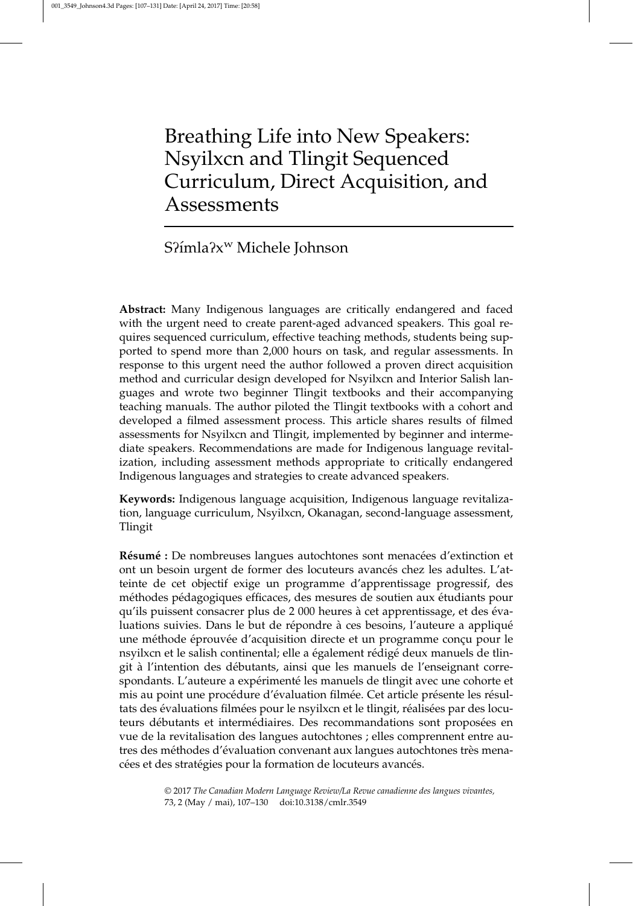# Breathing Life into New Speakers: Nsyilxcn and Tlingit Sequenced Curriculum, Direct Acquisition, and Assessments

# S?ímla?x<sup>w</sup> Michele Johnson

Abstract: Many Indigenous languages are critically endangered and faced with the urgent need to create parent-aged advanced speakers. This goal requires sequenced curriculum, effective teaching methods, students being supported to spend more than 2,000 hours on task, and regular assessments. In response to this urgent need the author followed a proven direct acquisition method and curricular design developed for Nsyilxcn and Interior Salish languages and wrote two beginner Tlingit textbooks and their accompanying teaching manuals. The author piloted the Tlingit textbooks with a cohort and developed a filmed assessment process. This article shares results of filmed assessments for Nsyilxcn and Tlingit, implemented by beginner and intermediate speakers. Recommendations are made for Indigenous language revitalization, including assessment methods appropriate to critically endangered Indigenous languages and strategies to create advanced speakers.

Keywords: Indigenous language acquisition, Indigenous language revitalization, language curriculum, Nsyilxcn, Okanagan, second-language assessment, Tlingit

Résumé : De nombreuses langues autochtones sont menacées d'extinction et ont un besoin urgent de former des locuteurs avancés chez les adultes. L'atteinte de cet objectif exige un programme d'apprentissage progressif, des méthodes pédagogiques efficaces, des mesures de soutien aux étudiants pour qu'ils puissent consacrer plus de 2 000 heures à cet apprentissage, et des évaluations suivies. Dans le but de répondre à ces besoins, l'auteure a appliqué une méthode éprouvée d'acquisition directe et un programme conçu pour le nsyilxcn et le salish continental; elle a également rédigé deux manuels de tlingit à l'intention des débutants, ainsi que les manuels de l'enseignant correspondants. L'auteure a expérimenté les manuels de tlingit avec une cohorte et mis au point une procédure d'évaluation filmée. Cet article présente les résultats des évaluations filmées pour le nsyilxcn et le tlingit, réalisées par des locuteurs débutants et intermédiaires. Des recommandations sont proposées en vue de la revitalisation des langues autochtones ; elles comprennent entre autres des méthodes d'évaluation convenant aux langues autochtones très menacées et des stratégies pour la formation de locuteurs avancés.

> © 2017 The Canadian Modern Language Review/La Revue canadienne des langues vivantes, 73, 2 (May / mai), 107–130 doi:10.3138/cmlr.3549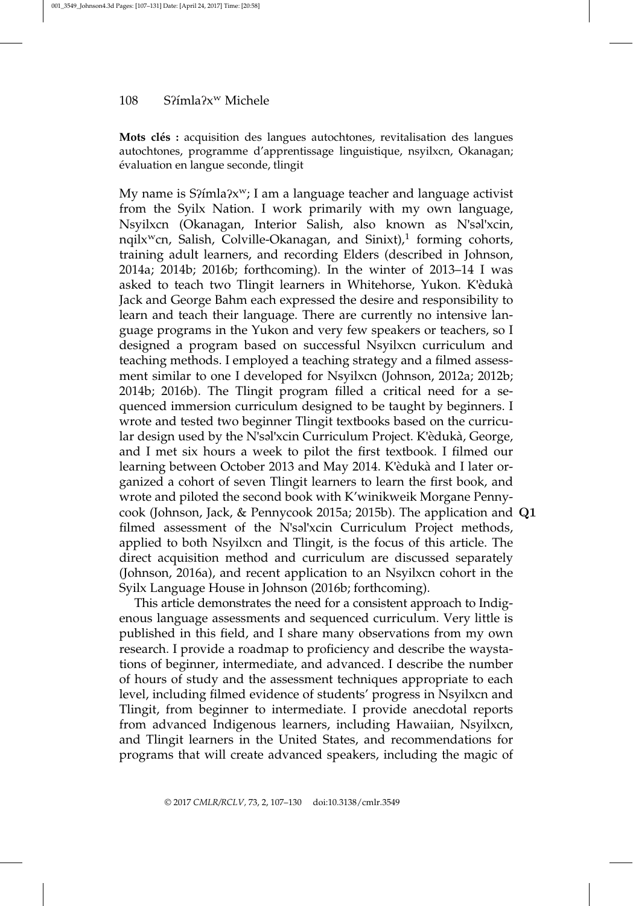Mots clés : acquisition des langues autochtones, revitalisation des langues autochtones, programme d'apprentissage linguistique, nsyilxcn, Okanagan; e´valuation en langue seconde, tlingit

My name is  $S\{X^w\}$  I am a language teacher and language activist from the Syilx Nation. I work primarily with my own language, Nsyilxcn (Okanagan, Interior Salish, also known as N'səl'xcin, nqilx<sup>w</sup>cn, Salish, Colville-Okanagan, and Sinixt),<sup>1</sup> forming cohorts, training adult learners, and recording Elders (described in Johnson, 2014a; 2014b; 2016b; forthcoming). In the winter of 2013–14 I was asked to teach two Tlingit learners in Whitehorse, Yukon. K'èdukà Jack and George Bahm each expressed the desire and responsibility to learn and teach their language. There are currently no intensive language programs in the Yukon and very few speakers or teachers, so I designed a program based on successful Nsyilxcn curriculum and teaching methods. I employed a teaching strategy and a filmed assessment similar to one I developed for Nsyilxcn (Johnson, 2012a; 2012b; 2014b; 2016b). The Tlingit program filled a critical need for a sequenced immersion curriculum designed to be taught by beginners. I wrote and tested two beginner Tlingit textbooks based on the curricular design used by the N'səl'xcin Curriculum Project. K'èdukà, George, and I met six hours a week to pilot the first textbook. I filmed our learning between October 2013 and May 2014. K'èdukà and I later organized a cohort of seven Tlingit learners to learn the first book, and wrote and piloted the second book with K'winikweik Morgane Pennycook (Johnson, Jack, & Pennycook 2015a; 2015b). The application and Q1 filmed assessment of the N'səl'xcin Curriculum Project methods, applied to both Nsyilxcn and Tlingit, is the focus of this article. The direct acquisition method and curriculum are discussed separately (Johnson, 2016a), and recent application to an Nsyilxcn cohort in the Syilx Language House in Johnson (2016b; forthcoming).

This article demonstrates the need for a consistent approach to Indigenous language assessments and sequenced curriculum. Very little is published in this field, and I share many observations from my own research. I provide a roadmap to proficiency and describe the waystations of beginner, intermediate, and advanced. I describe the number of hours of study and the assessment techniques appropriate to each level, including filmed evidence of students' progress in Nsyilxcn and Tlingit, from beginner to intermediate. I provide anecdotal reports from advanced Indigenous learners, including Hawaiian, Nsyilxcn, and Tlingit learners in the United States, and recommendations for programs that will create advanced speakers, including the magic of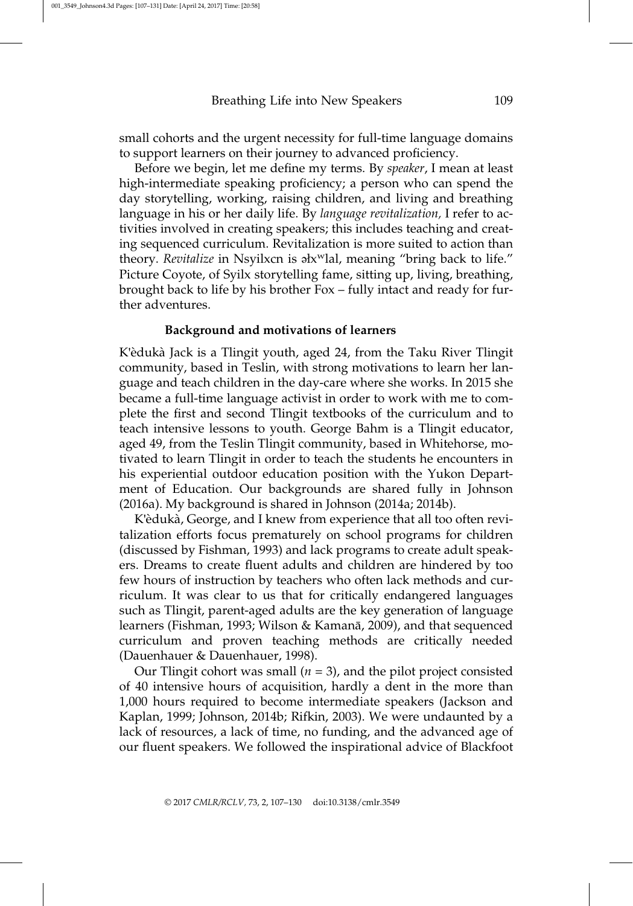small cohorts and the urgent necessity for full-time language domains to support learners on their journey to advanced proficiency.

Before we begin, let me define my terms. By speaker, I mean at least high-intermediate speaking proficiency; a person who can spend the day storytelling, working, raising children, and living and breathing language in his or her daily life. By *language revitalization*, I refer to activities involved in creating speakers; this includes teaching and creating sequenced curriculum. Revitalization is more suited to action than theory. Revitalize in Nsyilxcn is əlx<sup>w</sup>lal, meaning "bring back to life." Picture Coyote, of Syilx storytelling fame, sitting up, living, breathing, brought back to life by his brother Fox – fully intact and ready for further adventures.

#### Background and motivations of learners

K'èdukà Jack is a Tlingit youth, aged 24, from the Taku River Tlingit community, based in Teslin, with strong motivations to learn her language and teach children in the day-care where she works. In 2015 she became a full-time language activist in order to work with me to complete the first and second Tlingit textbooks of the curriculum and to teach intensive lessons to youth. George Bahm is a Tlingit educator, aged 49, from the Teslin Tlingit community, based in Whitehorse, motivated to learn Tlingit in order to teach the students he encounters in his experiential outdoor education position with the Yukon Department of Education. Our backgrounds are shared fully in Johnson (2016a). My background is shared in Johnson (2014a; 2014b).

K'èdukà, George, and I knew from experience that all too often revitalization efforts focus prematurely on school programs for children (discussed by Fishman, 1993) and lack programs to create adult speakers. Dreams to create fluent adults and children are hindered by too few hours of instruction by teachers who often lack methods and curriculum. It was clear to us that for critically endangered languages such as Tlingit, parent-aged adults are the key generation of language learners (Fishman, 1993; Wilson & Kamanā, 2009), and that sequenced curriculum and proven teaching methods are critically needed (Dauenhauer & Dauenhauer, 1998).

Our Tlingit cohort was small  $(n = 3)$ , and the pilot project consisted of 40 intensive hours of acquisition, hardly a dent in the more than 1,000 hours required to become intermediate speakers (Jackson and Kaplan, 1999; Johnson, 2014b; Rifkin, 2003). We were undaunted by a lack of resources, a lack of time, no funding, and the advanced age of our fluent speakers. We followed the inspirational advice of Blackfoot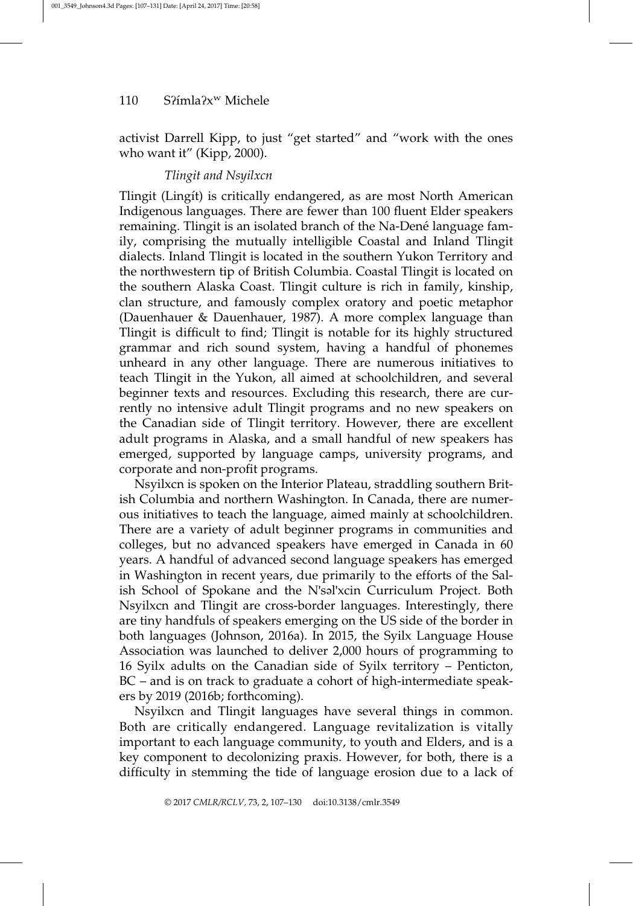activist Darrell Kipp, to just "get started" and "work with the ones who want it" (Kipp, 2000).

# Tlingit and Nsyilxcn

Tlingit (Lingít) is critically endangered, as are most North American Indigenous languages. There are fewer than 100 fluent Elder speakers remaining. Thingit is an isolated branch of the Na-Dené language family, comprising the mutually intelligible Coastal and Inland Tlingit dialects. Inland Tlingit is located in the southern Yukon Territory and the northwestern tip of British Columbia. Coastal Tlingit is located on the southern Alaska Coast. Tlingit culture is rich in family, kinship, clan structure, and famously complex oratory and poetic metaphor (Dauenhauer & Dauenhauer, 1987). A more complex language than Tlingit is difficult to find; Tlingit is notable for its highly structured grammar and rich sound system, having a handful of phonemes unheard in any other language. There are numerous initiatives to teach Tlingit in the Yukon, all aimed at schoolchildren, and several beginner texts and resources. Excluding this research, there are currently no intensive adult Tlingit programs and no new speakers on the Canadian side of Tlingit territory. However, there are excellent adult programs in Alaska, and a small handful of new speakers has emerged, supported by language camps, university programs, and corporate and non-profit programs.

Nsyilxcn is spoken on the Interior Plateau, straddling southern British Columbia and northern Washington. In Canada, there are numerous initiatives to teach the language, aimed mainly at schoolchildren. There are a variety of adult beginner programs in communities and colleges, but no advanced speakers have emerged in Canada in 60 years. A handful of advanced second language speakers has emerged in Washington in recent years, due primarily to the efforts of the Salish School of Spokane and the N'səl'xcin Curriculum Project. Both Nsyilxcn and Tlingit are cross-border languages. Interestingly, there are tiny handfuls of speakers emerging on the US side of the border in both languages (Johnson, 2016a). In 2015, the Syilx Language House Association was launched to deliver 2,000 hours of programming to 16 Syilx adults on the Canadian side of Syilx territory – Penticton, BC – and is on track to graduate a cohort of high-intermediate speakers by 2019 (2016b; forthcoming).

Nsyilxcn and Tlingit languages have several things in common. Both are critically endangered. Language revitalization is vitally important to each language community, to youth and Elders, and is a key component to decolonizing praxis. However, for both, there is a difficulty in stemming the tide of language erosion due to a lack of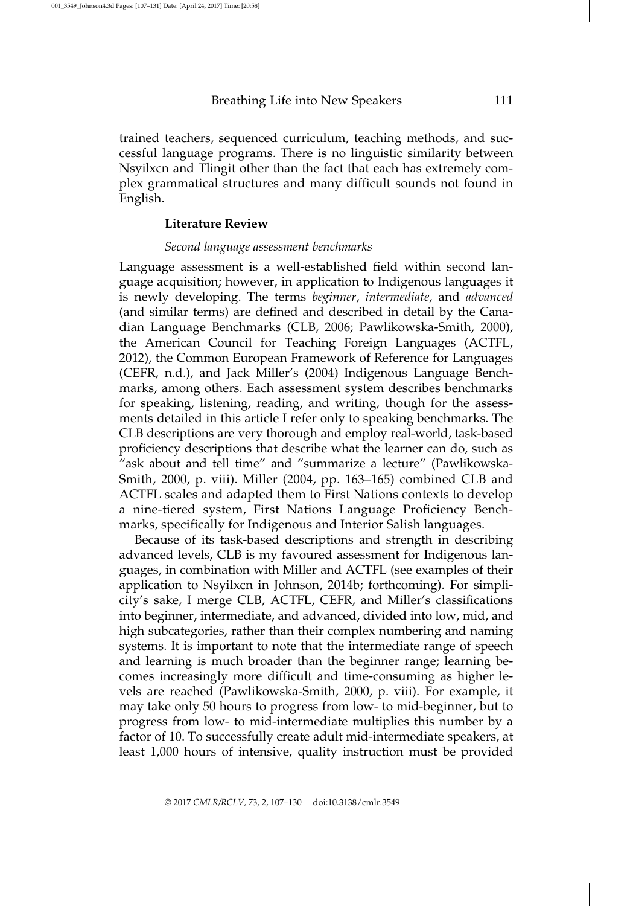trained teachers, sequenced curriculum, teaching methods, and successful language programs. There is no linguistic similarity between Nsyilxcn and Tlingit other than the fact that each has extremely complex grammatical structures and many difficult sounds not found in English.

## Literature Review

#### Second language assessment benchmarks

Language assessment is a well-established field within second language acquisition; however, in application to Indigenous languages it is newly developing. The terms beginner, intermediate, and advanced (and similar terms) are defined and described in detail by the Canadian Language Benchmarks (CLB, 2006; Pawlikowska-Smith, 2000), the American Council for Teaching Foreign Languages (ACTFL, 2012), the Common European Framework of Reference for Languages (CEFR, n.d.), and Jack Miller's (2004) Indigenous Language Benchmarks, among others. Each assessment system describes benchmarks for speaking, listening, reading, and writing, though for the assessments detailed in this article I refer only to speaking benchmarks. The CLB descriptions are very thorough and employ real-world, task-based proficiency descriptions that describe what the learner can do, such as "ask about and tell time" and "summarize a lecture" (Pawlikowska-Smith, 2000, p. viii). Miller (2004, pp. 163–165) combined CLB and ACTFL scales and adapted them to First Nations contexts to develop a nine-tiered system, First Nations Language Proficiency Benchmarks, specifically for Indigenous and Interior Salish languages.

Because of its task-based descriptions and strength in describing advanced levels, CLB is my favoured assessment for Indigenous languages, in combination with Miller and ACTFL (see examples of their application to Nsyilxcn in Johnson, 2014b; forthcoming). For simplicity's sake, I merge CLB, ACTFL, CEFR, and Miller's classifications into beginner, intermediate, and advanced, divided into low, mid, and high subcategories, rather than their complex numbering and naming systems. It is important to note that the intermediate range of speech and learning is much broader than the beginner range; learning becomes increasingly more difficult and time-consuming as higher levels are reached (Pawlikowska-Smith, 2000, p. viii). For example, it may take only 50 hours to progress from low- to mid-beginner, but to progress from low- to mid-intermediate multiplies this number by a factor of 10. To successfully create adult mid-intermediate speakers, at least 1,000 hours of intensive, quality instruction must be provided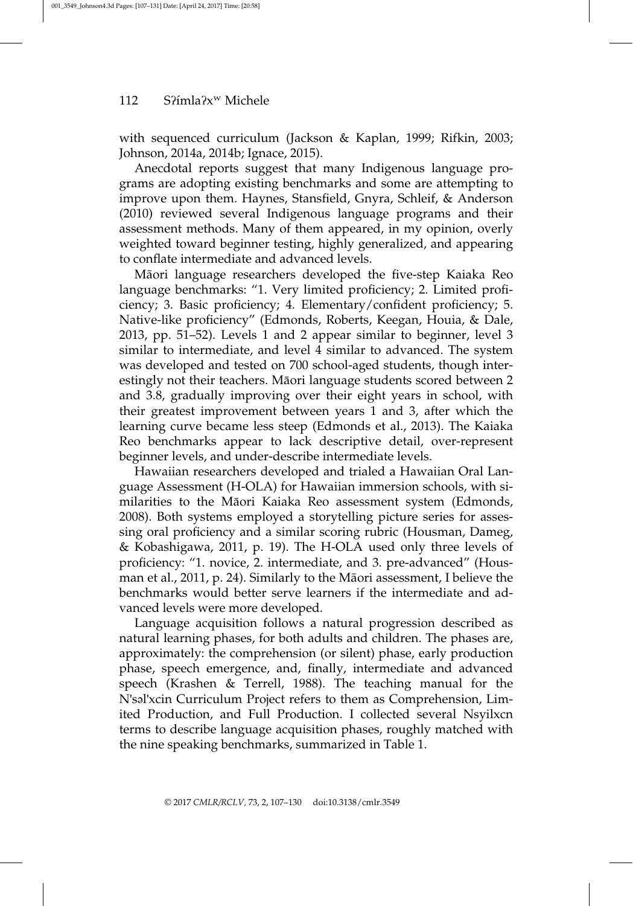with sequenced curriculum (Jackson & Kaplan, 1999; Rifkin, 2003; Johnson, 2014a, 2014b; Ignace, 2015).

Anecdotal reports suggest that many Indigenous language programs are adopting existing benchmarks and some are attempting to improve upon them. Haynes, Stansfield, Gnyra, Schleif, & Anderson (2010) reviewed several Indigenous language programs and their assessment methods. Many of them appeared, in my opinion, overly weighted toward beginner testing, highly generalized, and appearing to conflate intermediate and advanced levels.

Māori language researchers developed the five-step Kaiaka Reo language benchmarks: "1. Very limited proficiency; 2. Limited proficiency; 3. Basic proficiency; 4. Elementary/confident proficiency; 5. Native-like proficiency" (Edmonds, Roberts, Keegan, Houia, & Dale, 2013, pp. 51–52). Levels 1 and 2 appear similar to beginner, level 3 similar to intermediate, and level 4 similar to advanced. The system was developed and tested on 700 school-aged students, though interestingly not their teachers. Māori language students scored between 2 and 3.8, gradually improving over their eight years in school, with their greatest improvement between years 1 and 3, after which the learning curve became less steep (Edmonds et al., 2013). The Kaiaka Reo benchmarks appear to lack descriptive detail, over-represent beginner levels, and under-describe intermediate levels.

Hawaiian researchers developed and trialed a Hawaiian Oral Language Assessment (H-OLA) for Hawaiian immersion schools, with similarities to the Māori Kaiaka Reo assessment system (Edmonds, 2008). Both systems employed a storytelling picture series for assessing oral proficiency and a similar scoring rubric (Housman, Dameg, & Kobashigawa, 2011, p. 19). The H-OLA used only three levels of proficiency: "1. novice, 2. intermediate, and 3. pre-advanced" (Housman et al., 2011, p. 24). Similarly to the Māori assessment, I believe the benchmarks would better serve learners if the intermediate and advanced levels were more developed.

Language acquisition follows a natural progression described as natural learning phases, for both adults and children. The phases are, approximately: the comprehension (or silent) phase, early production phase, speech emergence, and, finally, intermediate and advanced speech (Krashen & Terrell, 1988). The teaching manual for the N'səl'xcin Curriculum Project refers to them as Comprehension, Limited Production, and Full Production. I collected several Nsyilxcn terms to describe language acquisition phases, roughly matched with the nine speaking benchmarks, summarized in Table 1.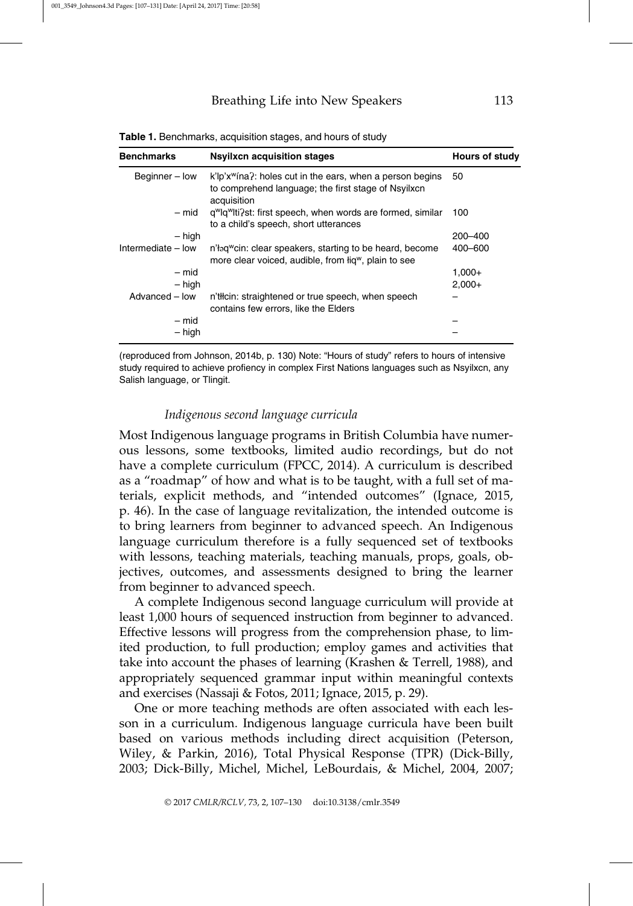| <b>Benchmarks</b>  | <b>Nsyilxcn acquisition stages</b>                                                                                                          | Hours of study |
|--------------------|---------------------------------------------------------------------------------------------------------------------------------------------|----------------|
| Beginner - low     | k'lp'x <sup>w</sup> ina?: holes cut in the ears, when a person begins<br>to comprehend language; the first stage of Nsyilxcn<br>acquisition | 50             |
| – mid              | g <sup>w</sup> lg <sup>w</sup> lti?st: first speech, when words are formed, similar<br>to a child's speech, short utterances                | 100            |
| – high             |                                                                                                                                             | $200 - 400$    |
| Intermediate - low | n'log cin: clear speakers, starting to be heard, become<br>more clear voiced, audible, from lig <sup>w</sup> , plain to see                 | 400-600        |
| $-$ mid            |                                                                                                                                             | $1.000 +$      |
| $-$ high           |                                                                                                                                             | $2.000+$       |
| Advanced - low     | n'th cin: straightened or true speech, when speech<br>contains few errors, like the Elders                                                  |                |
| – mid              |                                                                                                                                             |                |
| - high             |                                                                                                                                             |                |

Table 1. Benchmarks, acquisition stages, and hours of study

(reproduced from Johnson, 2014b, p. 130) Note: "Hours of study" refers to hours of intensive study required to achieve profiency in complex First Nations languages such as Nsyilxcn, any Salish language, or Tlingit.

#### Indigenous second language curricula

Most Indigenous language programs in British Columbia have numerous lessons, some textbooks, limited audio recordings, but do not have a complete curriculum (FPCC, 2014). A curriculum is described as a "roadmap" of how and what is to be taught, with a full set of materials, explicit methods, and "intended outcomes" (Ignace, 2015, p. 46). In the case of language revitalization, the intended outcome is to bring learners from beginner to advanced speech. An Indigenous language curriculum therefore is a fully sequenced set of textbooks with lessons, teaching materials, teaching manuals, props, goals, objectives, outcomes, and assessments designed to bring the learner from beginner to advanced speech.

A complete Indigenous second language curriculum will provide at least 1,000 hours of sequenced instruction from beginner to advanced. Effective lessons will progress from the comprehension phase, to limited production, to full production; employ games and activities that take into account the phases of learning (Krashen & Terrell, 1988), and appropriately sequenced grammar input within meaningful contexts and exercises (Nassaji & Fotos, 2011; Ignace, 2015, p. 29).

One or more teaching methods are often associated with each lesson in a curriculum. Indigenous language curricula have been built based on various methods including direct acquisition (Peterson, Wiley, & Parkin, 2016), Total Physical Response (TPR) (Dick-Billy, 2003; Dick-Billy, Michel, Michel, LeBourdais, & Michel, 2004, 2007;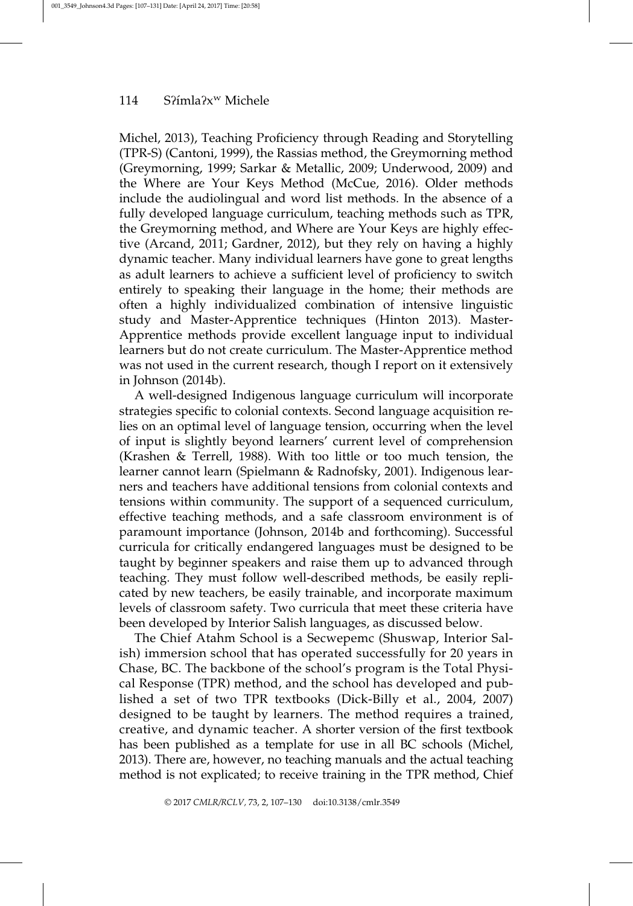Michel, 2013), Teaching Proficiency through Reading and Storytelling (TPR-S) (Cantoni, 1999), the Rassias method, the Greymorning method (Greymorning, 1999; Sarkar & Metallic, 2009; Underwood, 2009) and the Where are Your Keys Method (McCue, 2016). Older methods include the audiolingual and word list methods. In the absence of a fully developed language curriculum, teaching methods such as TPR, the Greymorning method, and Where are Your Keys are highly effective (Arcand, 2011; Gardner, 2012), but they rely on having a highly dynamic teacher. Many individual learners have gone to great lengths as adult learners to achieve a sufficient level of proficiency to switch entirely to speaking their language in the home; their methods are often a highly individualized combination of intensive linguistic study and Master-Apprentice techniques (Hinton 2013). Master-Apprentice methods provide excellent language input to individual learners but do not create curriculum. The Master-Apprentice method was not used in the current research, though I report on it extensively in Johnson (2014b).

A well-designed Indigenous language curriculum will incorporate strategies specific to colonial contexts. Second language acquisition relies on an optimal level of language tension, occurring when the level of input is slightly beyond learners' current level of comprehension (Krashen & Terrell, 1988). With too little or too much tension, the learner cannot learn (Spielmann & Radnofsky, 2001). Indigenous learners and teachers have additional tensions from colonial contexts and tensions within community. The support of a sequenced curriculum, effective teaching methods, and a safe classroom environment is of paramount importance (Johnson, 2014b and forthcoming). Successful curricula for critically endangered languages must be designed to be taught by beginner speakers and raise them up to advanced through teaching. They must follow well-described methods, be easily replicated by new teachers, be easily trainable, and incorporate maximum levels of classroom safety. Two curricula that meet these criteria have been developed by Interior Salish languages, as discussed below.

The Chief Atahm School is a Secwepemc (Shuswap, Interior Salish) immersion school that has operated successfully for 20 years in Chase, BC. The backbone of the school's program is the Total Physical Response (TPR) method, and the school has developed and published a set of two TPR textbooks (Dick-Billy et al., 2004, 2007) designed to be taught by learners. The method requires a trained, creative, and dynamic teacher. A shorter version of the first textbook has been published as a template for use in all BC schools (Michel, 2013). There are, however, no teaching manuals and the actual teaching method is not explicated; to receive training in the TPR method, Chief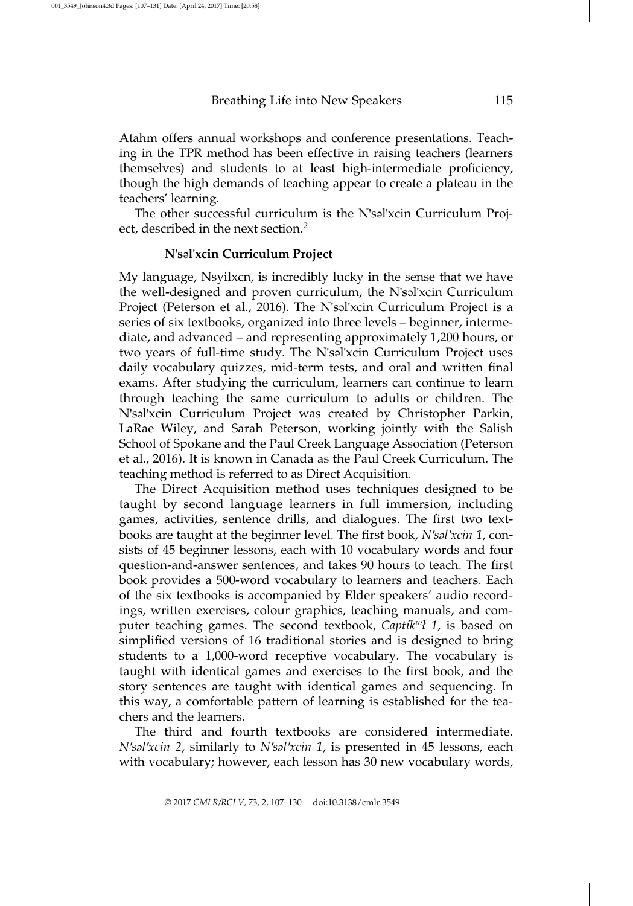Atahm offers annual workshops and conference presentations. Teaching in the TPR method has been effective in raising teachers (learners themselves) and students to at least high-intermediate proficiency, though the high demands of teaching appear to create a plateau in the teachers' learning.

The other successful curriculum is the N'səl'xcin Curriculum Project, described in the next section.<sup>2</sup>

### N'səl'xcin Curriculum Project

My language, Nsyilxcn, is incredibly lucky in the sense that we have the well-designed and proven curriculum, the N'səl'xcin Curriculum Project (Peterson et al., 2016). The N'səl'xcin Curriculum Project is a series of six textbooks, organized into three levels – beginner, intermediate, and advanced – and representing approximately 1,200 hours, or two years of full-time study. The N'səl'xcin Curriculum Project uses daily vocabulary quizzes, mid-term tests, and oral and written final exams. After studying the curriculum, learners can continue to learn through teaching the same curriculum to adults or children. The N'səl'xcin Curriculum Project was created by Christopher Parkin, LaRae Wiley, and Sarah Peterson, working jointly with the Salish School of Spokane and the Paul Creek Language Association (Peterson et al., 2016). It is known in Canada as the Paul Creek Curriculum. The teaching method is referred to as Direct Acquisition.

The Direct Acquisition method uses techniques designed to be taught by second language learners in full immersion, including games, activities, sentence drills, and dialogues. The first two textbooks are taught at the beginner level. The first book, N'səl'xcin 1, consists of 45 beginner lessons, each with 10 vocabulary words and four question-and-answer sentences, and takes 90 hours to teach. The first book provides a 500-word vocabulary to learners and teachers. Each of the six textbooks is accompanied by Elder speakers' audio recordings, written exercises, colour graphics, teaching manuals, and computer teaching games. The second textbook, Captik<sup>w</sup>ł 1, is based on simplified versions of 16 traditional stories and is designed to bring students to a 1,000-word receptive vocabulary. The vocabulary is taught with identical games and exercises to the first book, and the story sentences are taught with identical games and sequencing. In this way, a comfortable pattern of learning is established for the teachers and the learners.

The third and fourth textbooks are considered intermediate. N'səl'xcin 2, similarly to N'səl'xcin 1, is presented in 45 lessons, each with vocabulary; however, each lesson has 30 new vocabulary words,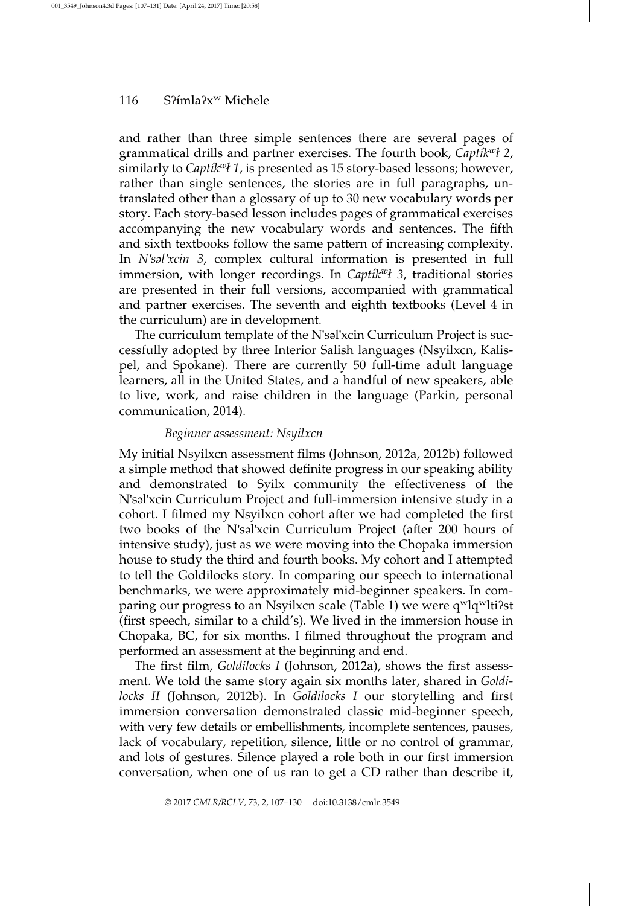and rather than three simple sentences there are several pages of grammatical drills and partner exercises. The fourth book,  $Capti\&v$ ?, similarly to Captik<sup>w</sup>l 1, is presented as 15 story-based lessons; however, rather than single sentences, the stories are in full paragraphs, untranslated other than a glossary of up to 30 new vocabulary words per story. Each story-based lesson includes pages of grammatical exercises accompanying the new vocabulary words and sentences. The fifth and sixth textbooks follow the same pattern of increasing complexity. In N'səl'xcin 3, complex cultural information is presented in full immersion, with longer recordings. In Captik<sup>w</sup>l 3, traditional stories are presented in their full versions, accompanied with grammatical and partner exercises. The seventh and eighth textbooks (Level 4 in the curriculum) are in development.

The curriculum template of the N'səl'xcin Curriculum Project is successfully adopted by three Interior Salish languages (Nsyilxcn, Kalispel, and Spokane). There are currently 50 full-time adult language learners, all in the United States, and a handful of new speakers, able to live, work, and raise children in the language (Parkin, personal communication, 2014).

#### Beginner assessment: Nsyilxcn

My initial Nsyilxcn assessment films (Johnson, 2012a, 2012b) followed a simple method that showed definite progress in our speaking ability and demonstrated to Syilx community the effectiveness of the N'səl'xcin Curriculum Project and full-immersion intensive study in a cohort. I filmed my Nsyilxcn cohort after we had completed the first two books of the N'səl'xcin Curriculum Project (after 200 hours of intensive study), just as we were moving into the Chopaka immersion house to study the third and fourth books. My cohort and I attempted to tell the Goldilocks story. In comparing our speech to international benchmarks, we were approximately mid-beginner speakers. In comparing our progress to an Nsyilxcn scale (Table 1) we were q<sup>w</sup>lq<sup>w</sup>lti?st (first speech, similar to a child's). We lived in the immersion house in Chopaka, BC, for six months. I filmed throughout the program and performed an assessment at the beginning and end.

The first film, Goldilocks I (Johnson, 2012a), shows the first assessment. We told the same story again six months later, shared in *Goldi*locks II (Johnson, 2012b). In Goldilocks I our storytelling and first immersion conversation demonstrated classic mid-beginner speech, with very few details or embellishments, incomplete sentences, pauses, lack of vocabulary, repetition, silence, little or no control of grammar, and lots of gestures. Silence played a role both in our first immersion conversation, when one of us ran to get a CD rather than describe it,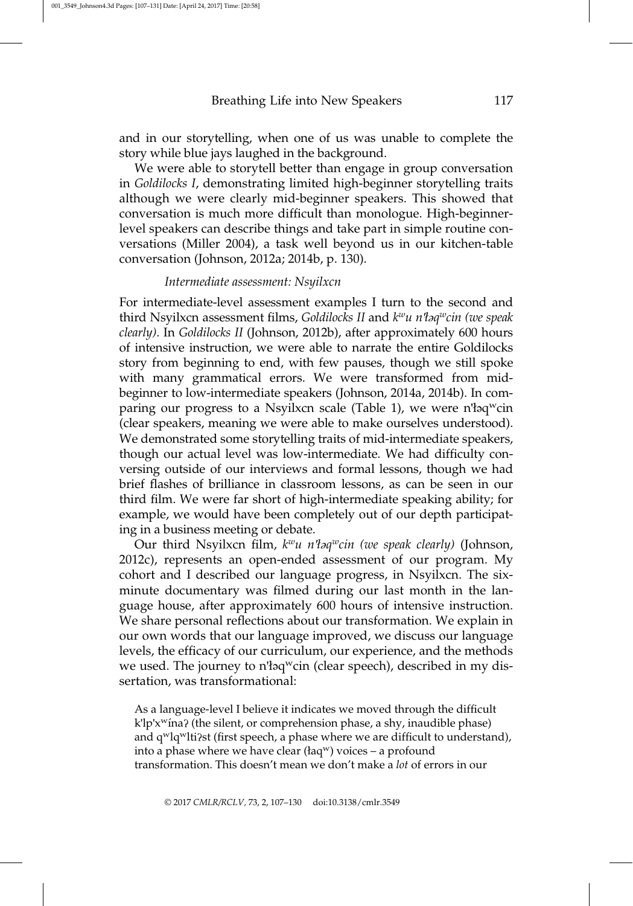and in our storytelling, when one of us was unable to complete the story while blue jays laughed in the background.

We were able to storytell better than engage in group conversation in Goldilocks I, demonstrating limited high-beginner storytelling traits although we were clearly mid-beginner speakers. This showed that conversation is much more difficult than monologue. High-beginnerlevel speakers can describe things and take part in simple routine conversations (Miller 2004), a task well beyond us in our kitchen-table conversation (Johnson, 2012a; 2014b, p. 130).

#### Intermediate assessment: Nsyilxcn

For intermediate-level assessment examples I turn to the second and third Nsyilxcn assessment films, Goldilocks II and  $k^w u$  n'łaqwcin (we speak clearly). In Goldilocks II (Johnson, 2012b), after approximately 600 hours of intensive instruction, we were able to narrate the entire Goldilocks story from beginning to end, with few pauses, though we still spoke with many grammatical errors. We were transformed from midbeginner to low-intermediate speakers (Johnson, 2014a, 2014b). In comparing our progress to a Nsyilxcn scale (Table 1), we were n'loq<sup>w</sup>cin (clear speakers, meaning we were able to make ourselves understood). We demonstrated some storytelling traits of mid-intermediate speakers, though our actual level was low-intermediate. We had difficulty conversing outside of our interviews and formal lessons, though we had brief flashes of brilliance in classroom lessons, as can be seen in our third film. We were far short of high-intermediate speaking ability; for example, we would have been completely out of our depth participating in a business meeting or debate.

Our third Nsyilxcn film,  $k^w u$  n'łəq<sup>w</sup>cin (we speak clearly) (Johnson, 2012c), represents an open-ended assessment of our program. My cohort and I described our language progress, in Nsyilxcn. The sixminute documentary was filmed during our last month in the language house, after approximately 600 hours of intensive instruction. We share personal reflections about our transformation. We explain in our own words that our language improved, we discuss our language levels, the efficacy of our curriculum, our experience, and the methods we used. The journey to n'łaq<sup>w</sup>cin (clear speech), described in my dissertation, was transformational:

As a language-level I believe it indicates we moved through the difficult k'lp'x<sup>w</sup>ína? (the silent, or comprehension phase, a shy, inaudible phase) and q<sup>w</sup>lq<sup>w</sup>lti?st (first speech, a phase where we are difficult to understand), into a phase where we have clear (łaq<sup>w</sup>) voices – a profound transformation. This doesn't mean we don't make a lot of errors in our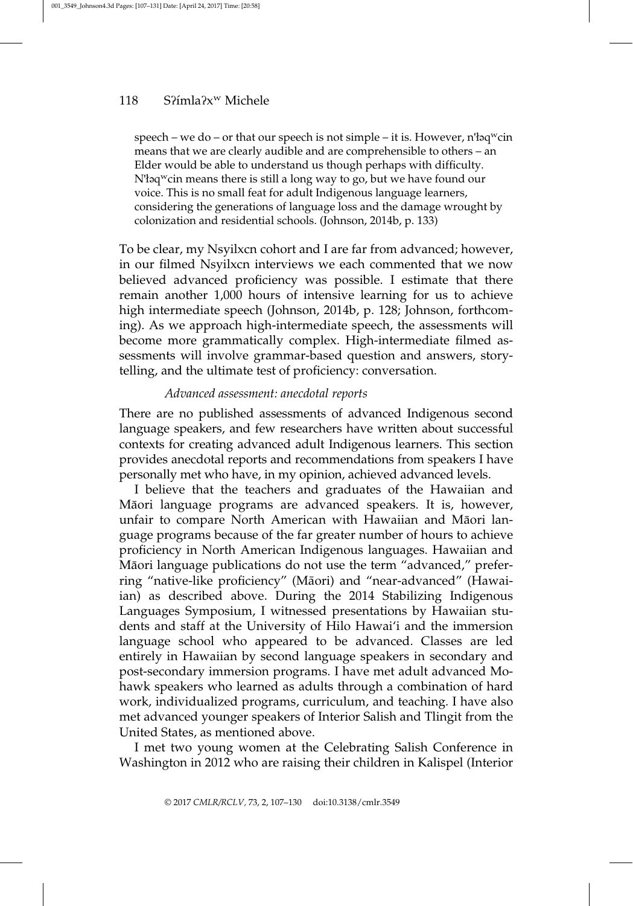speech – we do – or that our speech is not simple – it is. However,  $n'$ laq<sup>w</sup>cin means that we are clearly audible and are comprehensible to others – an Elder would be able to understand us though perhaps with difficulty. N'łaq<sup>w</sup>cin means there is still a long way to go, but we have found our voice. This is no small feat for adult Indigenous language learners, considering the generations of language loss and the damage wrought by colonization and residential schools. (Johnson, 2014b, p. 133)

To be clear, my Nsyilxcn cohort and I are far from advanced; however, in our filmed Nsyilxcn interviews we each commented that we now believed advanced proficiency was possible. I estimate that there remain another 1,000 hours of intensive learning for us to achieve high intermediate speech (Johnson, 2014b, p. 128; Johnson, forthcoming). As we approach high-intermediate speech, the assessments will become more grammatically complex. High-intermediate filmed assessments will involve grammar-based question and answers, storytelling, and the ultimate test of proficiency: conversation.

#### Advanced assessment: anecdotal reports

There are no published assessments of advanced Indigenous second language speakers, and few researchers have written about successful contexts for creating advanced adult Indigenous learners. This section provides anecdotal reports and recommendations from speakers I have personally met who have, in my opinion, achieved advanced levels.

I believe that the teachers and graduates of the Hawaiian and Māori language programs are advanced speakers. It is, however, unfair to compare North American with Hawaiian and Māori language programs because of the far greater number of hours to achieve proficiency in North American Indigenous languages. Hawaiian and Māori language publications do not use the term "advanced," preferring "native-like proficiency" (Māori) and "near-advanced" (Hawaiian) as described above. During the 2014 Stabilizing Indigenous Languages Symposium, I witnessed presentations by Hawaiian students and staff at the University of Hilo Hawai'i and the immersion language school who appeared to be advanced. Classes are led entirely in Hawaiian by second language speakers in secondary and post-secondary immersion programs. I have met adult advanced Mohawk speakers who learned as adults through a combination of hard work, individualized programs, curriculum, and teaching. I have also met advanced younger speakers of Interior Salish and Tlingit from the United States, as mentioned above.

I met two young women at the Celebrating Salish Conference in Washington in 2012 who are raising their children in Kalispel (Interior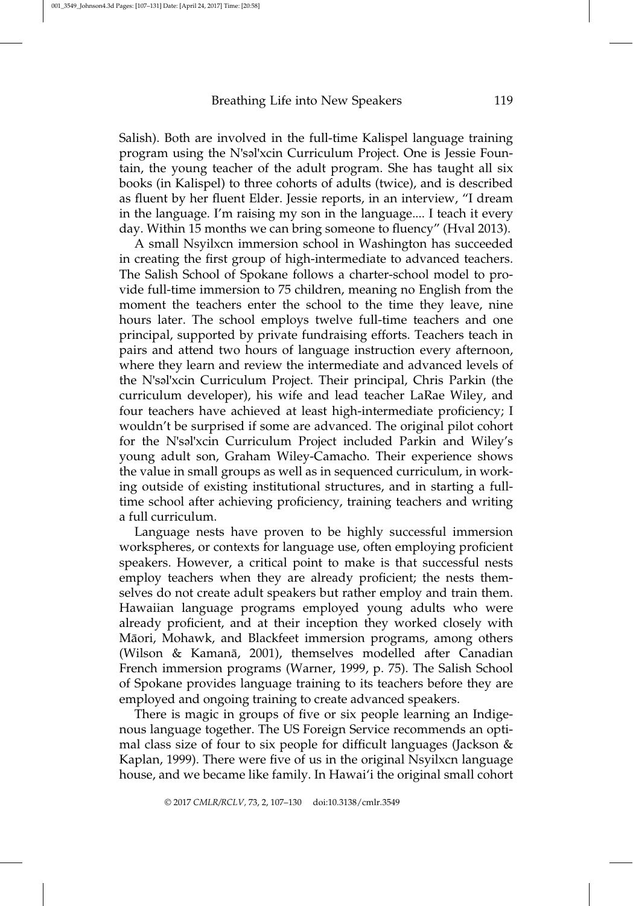Salish). Both are involved in the full-time Kalispel language training program using the N'səl'xcin Curriculum Project. One is Jessie Fountain, the young teacher of the adult program. She has taught all six books (in Kalispel) to three cohorts of adults (twice), and is described as fluent by her fluent Elder. Jessie reports, in an interview, "I dream in the language. I'm raising my son in the language.... I teach it every day. Within 15 months we can bring someone to fluency" (Hval 2013).

A small Nsyilxcn immersion school in Washington has succeeded in creating the first group of high-intermediate to advanced teachers. The Salish School of Spokane follows a charter-school model to provide full-time immersion to 75 children, meaning no English from the moment the teachers enter the school to the time they leave, nine hours later. The school employs twelve full-time teachers and one principal, supported by private fundraising efforts. Teachers teach in pairs and attend two hours of language instruction every afternoon, where they learn and review the intermediate and advanced levels of the N'səl'xcin Curriculum Project. Their principal, Chris Parkin (the curriculum developer), his wife and lead teacher LaRae Wiley, and four teachers have achieved at least high-intermediate proficiency; I wouldn't be surprised if some are advanced. The original pilot cohort for the N'səl'xcin Curriculum Project included Parkin and Wiley's young adult son, Graham Wiley-Camacho. Their experience shows the value in small groups as well as in sequenced curriculum, in working outside of existing institutional structures, and in starting a fulltime school after achieving proficiency, training teachers and writing a full curriculum.

Language nests have proven to be highly successful immersion workspheres, or contexts for language use, often employing proficient speakers. However, a critical point to make is that successful nests employ teachers when they are already proficient; the nests themselves do not create adult speakers but rather employ and train them. Hawaiian language programs employed young adults who were already proficient, and at their inception they worked closely with Māori, Mohawk, and Blackfeet immersion programs, among others (Wilson  $& Kamanā, 2001$ ), themselves modelled after Canadian French immersion programs (Warner, 1999, p. 75). The Salish School of Spokane provides language training to its teachers before they are employed and ongoing training to create advanced speakers.

There is magic in groups of five or six people learning an Indigenous language together. The US Foreign Service recommends an optimal class size of four to six people for difficult languages (Jackson & Kaplan, 1999). There were five of us in the original Nsyilxcn language house, and we became like family. In Hawai'i the original small cohort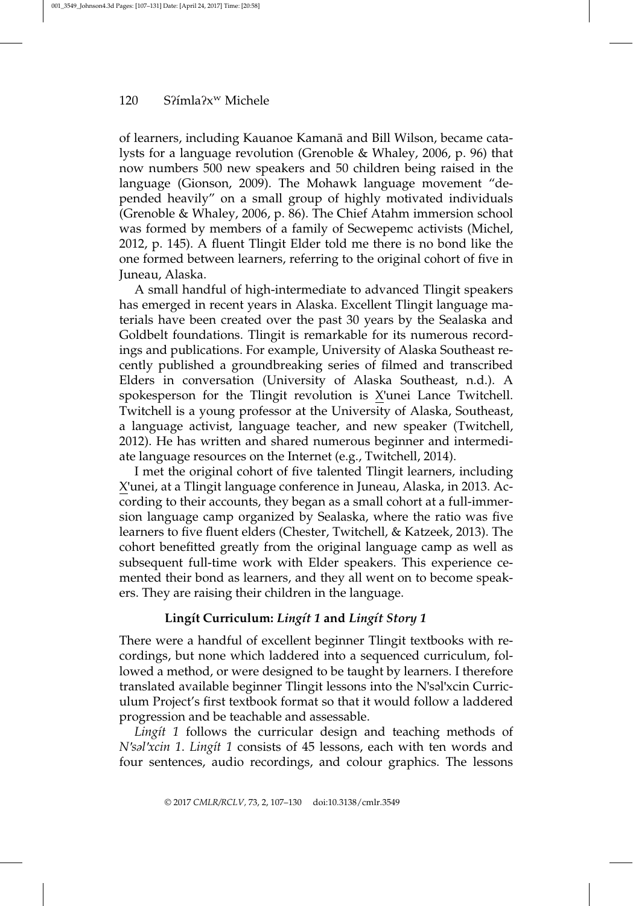of learners, including Kauanoe Kamanā and Bill Wilson, became catalysts for a language revolution (Grenoble & Whaley, 2006, p. 96) that now numbers 500 new speakers and 50 children being raised in the language (Gionson, 2009). The Mohawk language movement "depended heavily" on a small group of highly motivated individuals (Grenoble & Whaley, 2006, p. 86). The Chief Atahm immersion school was formed by members of a family of Secwepemc activists (Michel, 2012, p. 145). A fluent Tlingit Elder told me there is no bond like the one formed between learners, referring to the original cohort of five in Juneau, Alaska.

A small handful of high-intermediate to advanced Tlingit speakers has emerged in recent years in Alaska. Excellent Tlingit language materials have been created over the past 30 years by the Sealaska and Goldbelt foundations. Tlingit is remarkable for its numerous recordings and publications. For example, University of Alaska Southeast recently published a groundbreaking series of filmed and transcribed Elders in conversation (University of Alaska Southeast, n.d.). A spokesperson for the Tlingit revolution is X'unei Lance Twitchell. Twitchell is a young professor at the University of Alaska, Southeast, a language activist, language teacher, and new speaker (Twitchell, 2012). He has written and shared numerous beginner and intermediate language resources on the Internet (e.g., Twitchell, 2014).

I met the original cohort of five talented Tlingit learners, including X'unei, at a Tlingit language conference in Juneau, Alaska, in 2013. According to their accounts, they began as a small cohort at a full-immersion language camp organized by Sealaska, where the ratio was five learners to five fluent elders (Chester, Twitchell, & Katzeek, 2013). The cohort benefitted greatly from the original language camp as well as subsequent full-time work with Elder speakers. This experience cemented their bond as learners, and they all went on to become speakers. They are raising their children in the language.

# Lingít Curriculum: Lingít 1 and Lingít Story 1

There were a handful of excellent beginner Tlingit textbooks with recordings, but none which laddered into a sequenced curriculum, followed a method, or were designed to be taught by learners. I therefore translated available beginner Tlingit lessons into the N'səl'xcin Curriculum Project's first textbook format so that it would follow a laddered progression and be teachable and assessable.

Lingit 1 follows the curricular design and teaching methods of N'səl'xcin 1. Lingít 1 consists of 45 lessons, each with ten words and four sentences, audio recordings, and colour graphics. The lessons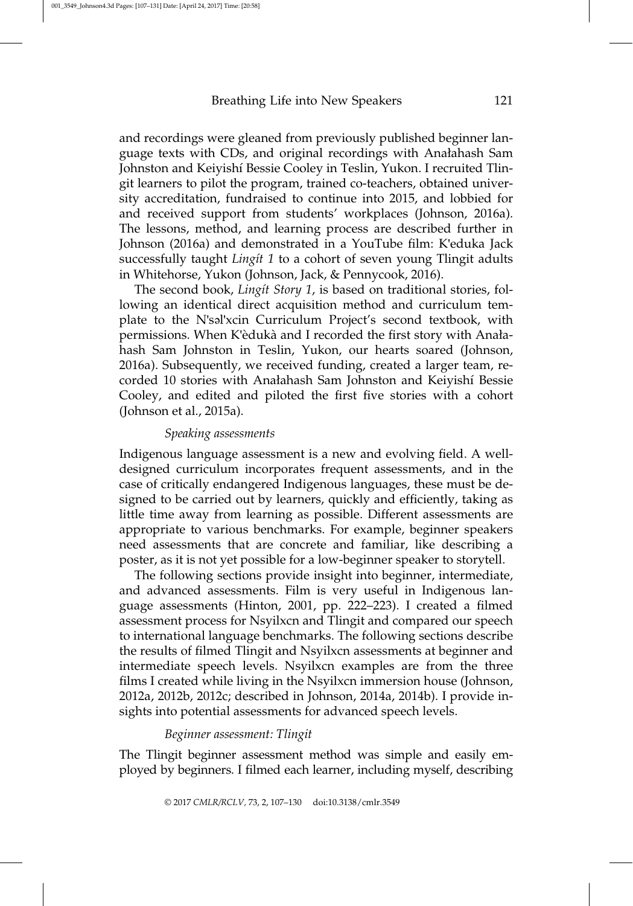and recordings were gleaned from previously published beginner language texts with CDs, and original recordings with Anałahash Sam Johnston and Keiyishı´ Bessie Cooley in Teslin, Yukon. I recruited Tlingit learners to pilot the program, trained co-teachers, obtained university accreditation, fundraised to continue into 2015, and lobbied for and received support from students' workplaces (Johnson, 2016a). The lessons, method, and learning process are described further in Johnson (2016a) and demonstrated in a YouTube film: K'eduka Jack successfully taught *Lingit* 1 to a cohort of seven young Tlingit adults in Whitehorse, Yukon (Johnson, Jack, & Pennycook, 2016).

The second book, Lingit Story 1, is based on traditional stories, following an identical direct acquisition method and curriculum template to the N'səl'xcin Curriculum Project's second textbook, with permissions. When K'èdukà and I recorded the first story with Anałahash Sam Johnston in Teslin, Yukon, our hearts soared (Johnson, 2016a). Subsequently, we received funding, created a larger team, recorded 10 stories with Anałahash Sam Johnston and Keiyishí Bessie Cooley, and edited and piloted the first five stories with a cohort (Johnson et al., 2015a).

#### Speaking assessments

Indigenous language assessment is a new and evolving field. A welldesigned curriculum incorporates frequent assessments, and in the case of critically endangered Indigenous languages, these must be designed to be carried out by learners, quickly and efficiently, taking as little time away from learning as possible. Different assessments are appropriate to various benchmarks. For example, beginner speakers need assessments that are concrete and familiar, like describing a poster, as it is not yet possible for a low-beginner speaker to storytell.

The following sections provide insight into beginner, intermediate, and advanced assessments. Film is very useful in Indigenous language assessments (Hinton, 2001, pp. 222–223). I created a filmed assessment process for Nsyilxcn and Tlingit and compared our speech to international language benchmarks. The following sections describe the results of filmed Tlingit and Nsyilxcn assessments at beginner and intermediate speech levels. Nsyilxcn examples are from the three films I created while living in the Nsyilxcn immersion house (Johnson, 2012a, 2012b, 2012c; described in Johnson, 2014a, 2014b). I provide insights into potential assessments for advanced speech levels.

#### Beginner assessment: Tlingit

The Tlingit beginner assessment method was simple and easily employed by beginners. I filmed each learner, including myself, describing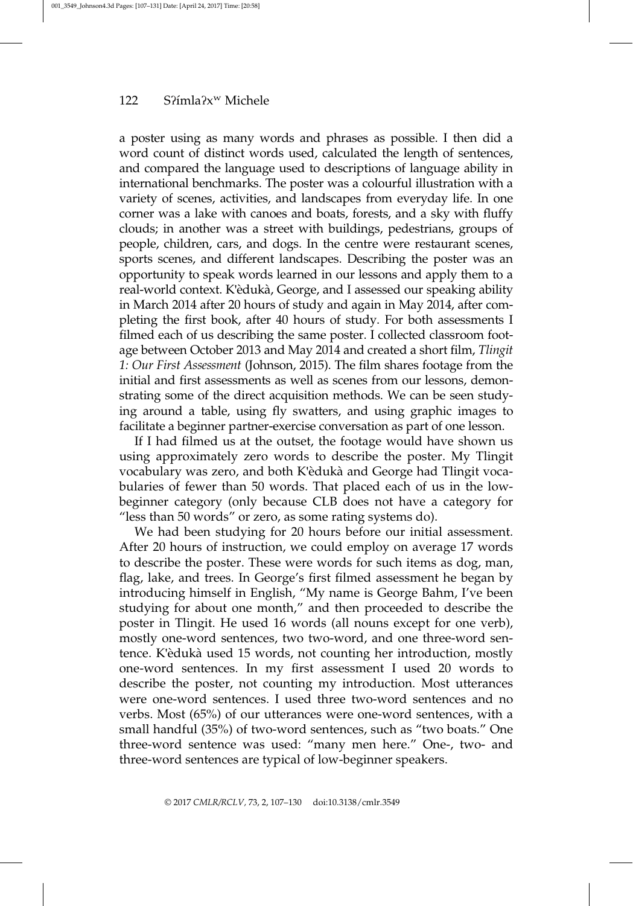a poster using as many words and phrases as possible. I then did a word count of distinct words used, calculated the length of sentences, and compared the language used to descriptions of language ability in international benchmarks. The poster was a colourful illustration with a variety of scenes, activities, and landscapes from everyday life. In one corner was a lake with canoes and boats, forests, and a sky with fluffy clouds; in another was a street with buildings, pedestrians, groups of people, children, cars, and dogs. In the centre were restaurant scenes, sports scenes, and different landscapes. Describing the poster was an opportunity to speak words learned in our lessons and apply them to a real-world context. K'èdukà, George, and I assessed our speaking ability in March 2014 after 20 hours of study and again in May 2014, after completing the first book, after 40 hours of study. For both assessments I filmed each of us describing the same poster. I collected classroom footage between October 2013 and May 2014 and created a short film, Tlingit 1: Our First Assessment (Johnson, 2015). The film shares footage from the initial and first assessments as well as scenes from our lessons, demonstrating some of the direct acquisition methods. We can be seen studying around a table, using fly swatters, and using graphic images to facilitate a beginner partner-exercise conversation as part of one lesson.

If I had filmed us at the outset, the footage would have shown us using approximately zero words to describe the poster. My Tlingit vocabulary was zero, and both K'èdukà and George had Tlingit vocabularies of fewer than 50 words. That placed each of us in the lowbeginner category (only because CLB does not have a category for "less than 50 words" or zero, as some rating systems do).

We had been studying for 20 hours before our initial assessment. After 20 hours of instruction, we could employ on average 17 words to describe the poster. These were words for such items as dog, man, flag, lake, and trees. In George's first filmed assessment he began by introducing himself in English, "My name is George Bahm, I've been studying for about one month," and then proceeded to describe the poster in Tlingit. He used 16 words (all nouns except for one verb), mostly one-word sentences, two two-word, and one three-word sentence. K'èdukà used 15 words, not counting her introduction, mostly one-word sentences. In my first assessment I used 20 words to describe the poster, not counting my introduction. Most utterances were one-word sentences. I used three two-word sentences and no verbs. Most (65%) of our utterances were one-word sentences, with a small handful (35%) of two-word sentences, such as "two boats." One three-word sentence was used: "many men here." One-, two- and three-word sentences are typical of low-beginner speakers.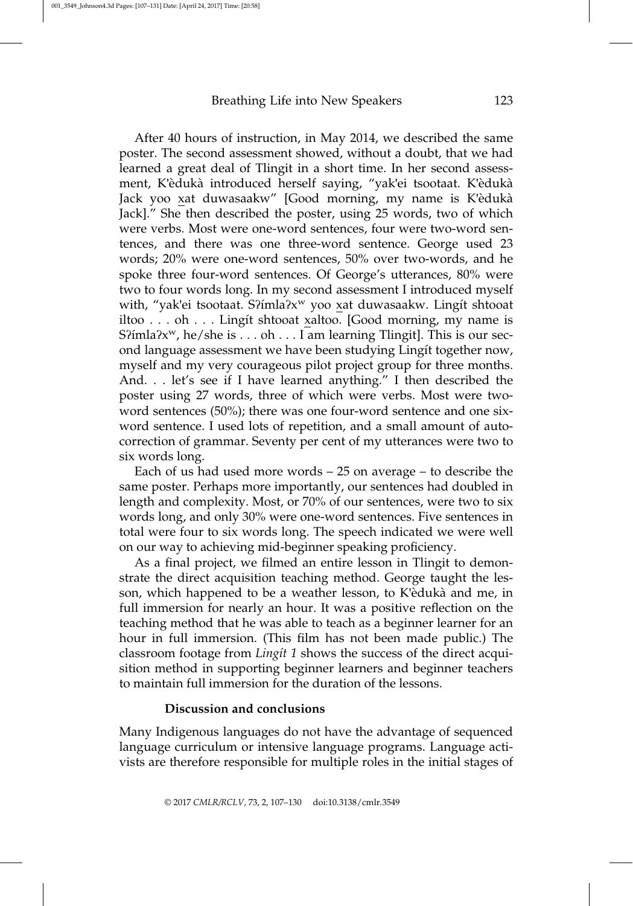After 40 hours of instruction, in May 2014, we described the same poster. The second assessment showed, without a doubt, that we had learned a great deal of Tlingit in a short time. In her second assessment, K'èdukà introduced herself saying, "yak'ei tsootaat. K'èdukà Jack yoo xat duwasaakw" [Good morning, my name is K'èdukà Jack]." She then described the poster, using 25 words, two of which were verbs. Most were one-word sentences, four were two-word sentences, and there was one three-word sentence. George used 23 words; 20% were one-word sentences, 50% over two-words, and he spoke three four-word sentences. Of George's utterances, 80% were two to four words long. In my second assessment I introduced myself with, "yak'ei tsootaat. S?imla?x<sup>w</sup> yoo xat duwasaakw. Lingit shtooat iltoo . . . oh . . . Lingit shtooat xaltoo. [Good morning, my name is  $S<sup>2</sup>$ fmla $?x<sup>w</sup>$ , he/she is . . . oh . . . I am learning Tlingit]. This is our second language assessment we have been studying Lingit together now, myself and my very courageous pilot project group for three months. And. . . let's see if I have learned anything." I then described the poster using 27 words, three of which were verbs. Most were twoword sentences (50%); there was one four-word sentence and one sixword sentence. I used lots of repetition, and a small amount of autocorrection of grammar. Seventy per cent of my utterances were two to six words long.

Each of us had used more words – 25 on average – to describe the same poster. Perhaps more importantly, our sentences had doubled in length and complexity. Most, or 70% of our sentences, were two to six words long, and only 30% were one-word sentences. Five sentences in total were four to six words long. The speech indicated we were well on our way to achieving mid-beginner speaking proficiency.

As a final project, we filmed an entire lesson in Tlingit to demonstrate the direct acquisition teaching method. George taught the lesson, which happened to be a weather lesson, to K'eduka` and me, in full immersion for nearly an hour. It was a positive reflection on the teaching method that he was able to teach as a beginner learner for an hour in full immersion. (This film has not been made public.) The classroom footage from Lingit 1 shows the success of the direct acquisition method in supporting beginner learners and beginner teachers to maintain full immersion for the duration of the lessons.

#### Discussion and conclusions

Many Indigenous languages do not have the advantage of sequenced language curriculum or intensive language programs. Language activists are therefore responsible for multiple roles in the initial stages of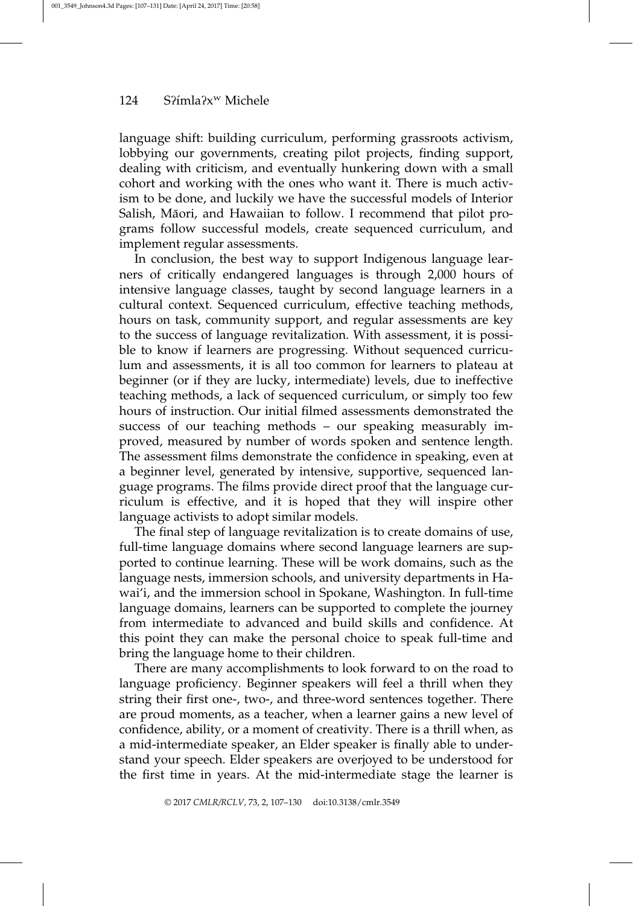language shift: building curriculum, performing grassroots activism, lobbying our governments, creating pilot projects, finding support, dealing with criticism, and eventually hunkering down with a small cohort and working with the ones who want it. There is much activism to be done, and luckily we have the successful models of Interior Salish, Māori, and Hawaiian to follow. I recommend that pilot programs follow successful models, create sequenced curriculum, and implement regular assessments.

In conclusion, the best way to support Indigenous language learners of critically endangered languages is through 2,000 hours of intensive language classes, taught by second language learners in a cultural context. Sequenced curriculum, effective teaching methods, hours on task, community support, and regular assessments are key to the success of language revitalization. With assessment, it is possible to know if learners are progressing. Without sequenced curriculum and assessments, it is all too common for learners to plateau at beginner (or if they are lucky, intermediate) levels, due to ineffective teaching methods, a lack of sequenced curriculum, or simply too few hours of instruction. Our initial filmed assessments demonstrated the success of our teaching methods – our speaking measurably improved, measured by number of words spoken and sentence length. The assessment films demonstrate the confidence in speaking, even at a beginner level, generated by intensive, supportive, sequenced language programs. The films provide direct proof that the language curriculum is effective, and it is hoped that they will inspire other language activists to adopt similar models.

The final step of language revitalization is to create domains of use, full-time language domains where second language learners are supported to continue learning. These will be work domains, such as the language nests, immersion schools, and university departments in Hawai'i, and the immersion school in Spokane, Washington. In full-time language domains, learners can be supported to complete the journey from intermediate to advanced and build skills and confidence. At this point they can make the personal choice to speak full-time and bring the language home to their children.

There are many accomplishments to look forward to on the road to language proficiency. Beginner speakers will feel a thrill when they string their first one-, two-, and three-word sentences together. There are proud moments, as a teacher, when a learner gains a new level of confidence, ability, or a moment of creativity. There is a thrill when, as a mid-intermediate speaker, an Elder speaker is finally able to understand your speech. Elder speakers are overjoyed to be understood for the first time in years. At the mid-intermediate stage the learner is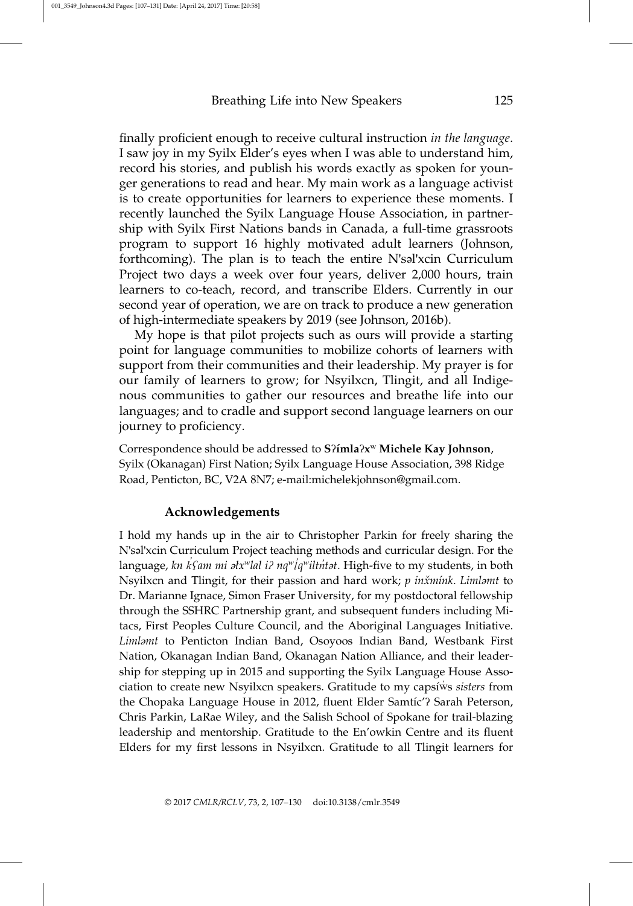finally proficient enough to receive cultural instruction in the language. I saw joy in my Syilx Elder's eyes when I was able to understand him, record his stories, and publish his words exactly as spoken for younger generations to read and hear. My main work as a language activist is to create opportunities for learners to experience these moments. I recently launched the Syilx Language House Association, in partnership with Syilx First Nations bands in Canada, a full-time grassroots program to support 16 highly motivated adult learners (Johnson, forthcoming). The plan is to teach the entire N'səl'xcin Curriculum Project two days a week over four years, deliver 2,000 hours, train learners to co-teach, record, and transcribe Elders. Currently in our second year of operation, we are on track to produce a new generation of high-intermediate speakers by 2019 (see Johnson, 2016b).

My hope is that pilot projects such as ours will provide a starting point for language communities to mobilize cohorts of learners with support from their communities and their leadership. My prayer is for our family of learners to grow; for Nsyilxcn, Tlingit, and all Indigenous communities to gather our resources and breathe life into our languages; and to cradle and support second language learners on our journey to proficiency.

Correspondence should be addressed to  $S^2$ imla $2x^w$  Michele Kay Johnson, Syilx (Okanagan) First Nation; Syilx Language House Association, 398 Ridge Road, Penticton, BC, V2A 8N7; e-mail:michelekjohnson@gmail.com.

# Acknowledgements

I hold my hands up in the air to Christopher Parkin for freely sharing the N'səl'xcin Curriculum Project teaching methods and curricular design. For the language, kn *k ʕ*am mi əłxwlal i*ʔ* nqw*l* qwilt*n̓*tət. High-five to my students, in both *̓ ̓* Nsyilxcn and Tlingit, for their passion and hard work; p inxmink. Limlamt to Dr. Marianne Ignace, Simon Fraser University, for my postdoctoral fellowship through the SSHRC Partnership grant, and subsequent funders including Mitacs, First Peoples Culture Council, and the Aboriginal Languages Initiative. Limləmt to Penticton Indian Band, Osoyoos Indian Band, Westbank First Nation, Okanagan Indian Band, Okanagan Nation Alliance, and their leadership for stepping up in 2015 and supporting the Syilx Language House Association to create new Nsyilxcn speakers. Gratitude to my capsiws sisters from the Chopaka Language House in 2012, fluent Elder Samtic'? Sarah Peterson, Chris Parkin, LaRae Wiley, and the Salish School of Spokane for trail-blazing leadership and mentorship. Gratitude to the En'owkin Centre and its fluent Elders for my first lessons in Nsyilxcn. Gratitude to all Tlingit learners for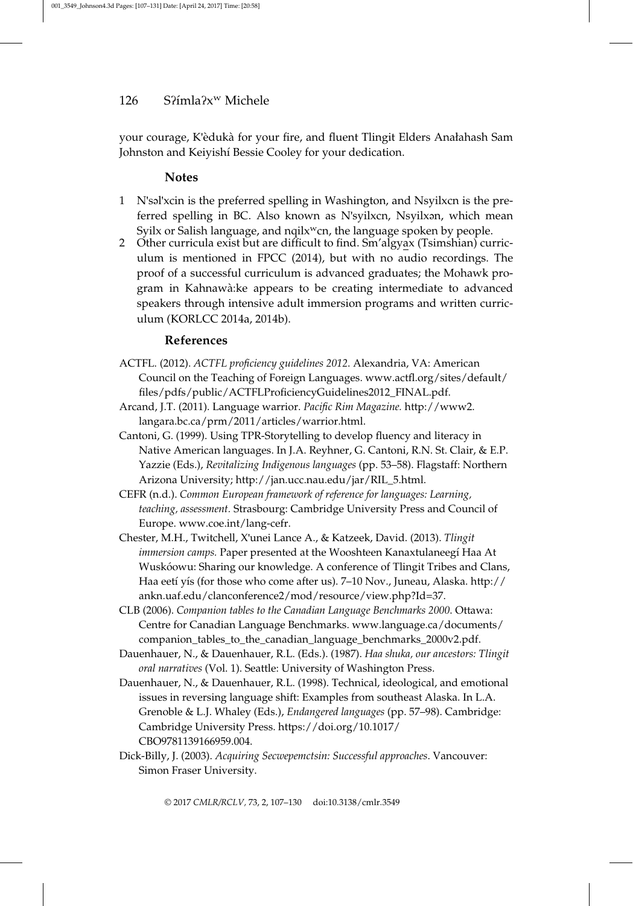your courage, K'èdukà for your fire, and fluent Tlingit Elders Anałahash Sam Johnston and Keiyishí Bessie Cooley for your dedication.

## **Notes**

- 1 N'səl'xcin is the preferred spelling in Washington, and Nsyilxcn is the preferred spelling in BC. Also known as N'syilxcn, Nsyilxən, which mean Syilx or Salish language, and nqilx<sup>w</sup>cn, the language spoken by people.
- 2 Other curricula exist but are difficult to find. Sm'algyax (Tsimshian) curriculum is mentioned in FPCC (2014), but with no audio recordings. The proof of a successful curriculum is advanced graduates; the Mohawk program in Kahnawa`:ke appears to be creating intermediate to advanced speakers through intensive adult immersion programs and written curriculum (KORLCC 2014a, 2014b).

#### References

- ACTFL. (2012). ACTFL proficiency guidelines 2012. Alexandria, VA: American Council on the Teaching of Foreign Languages. www.actfl.org/sites/default/ files/pdfs/public/ACTFLProficiencyGuidelines2012\_FINAL.pdf.
- Arcand, J.T. (2011). Language warrior. Pacific Rim Magazine. http://www2. langara.bc.ca/prm/2011/articles/warrior.html.
- Cantoni, G. (1999). Using TPR-Storytelling to develop fluency and literacy in Native American languages. In J.A. Reyhner, G. Cantoni, R.N. St. Clair, & E.P. Yazzie (Eds.), Revitalizing Indigenous languages (pp. 53–58). Flagstaff: Northern Arizona University; http://jan.ucc.nau.edu/jar/RIL\_5.html.
- CEFR (n.d.). Common European framework of reference for languages: Learning, teaching, assessment. Strasbourg: Cambridge University Press and Council of Europe. www.coe.int/lang-cefr.
- Chester, M.H., Twitchell, X'unei Lance A., & Katzeek, David. (2013). Tlingit immersion camps. Paper presented at the Wooshteen Kanaxtulaneegí Haa At Wuskóowu: Sharing our knowledge. A conference of Tlingit Tribes and Clans, Haa eetí yís (for those who come after us). 7–10 Nov., Juneau, Alaska. http:// ankn.uaf.edu/clanconference2/mod/resource/view.php?Id=37.
- CLB (2006). Companion tables to the Canadian Language Benchmarks 2000. Ottawa: Centre for Canadian Language Benchmarks. www.language.ca/documents/ companion\_tables\_to\_the\_canadian\_language\_benchmarks\_2000v2.pdf.
- Dauenhauer, N., & Dauenhauer, R.L. (Eds.). (1987). Haa shuka, our ancestors: Tlingit oral narratives (Vol. 1). Seattle: University of Washington Press.
- Dauenhauer, N., & Dauenhauer, R.L. (1998). Technical, ideological, and emotional issues in reversing language shift: Examples from southeast Alaska. In L.A. Grenoble & L.J. Whaley (Eds.), Endangered languages (pp. 57–98). Cambridge: Cambridge University Press. https://doi.org/10.1017/ CBO9781139166959.004.
- Dick-Billy, J. (2003). Acquiring Secwepemctsin: Successful approaches. Vancouver: Simon Fraser University.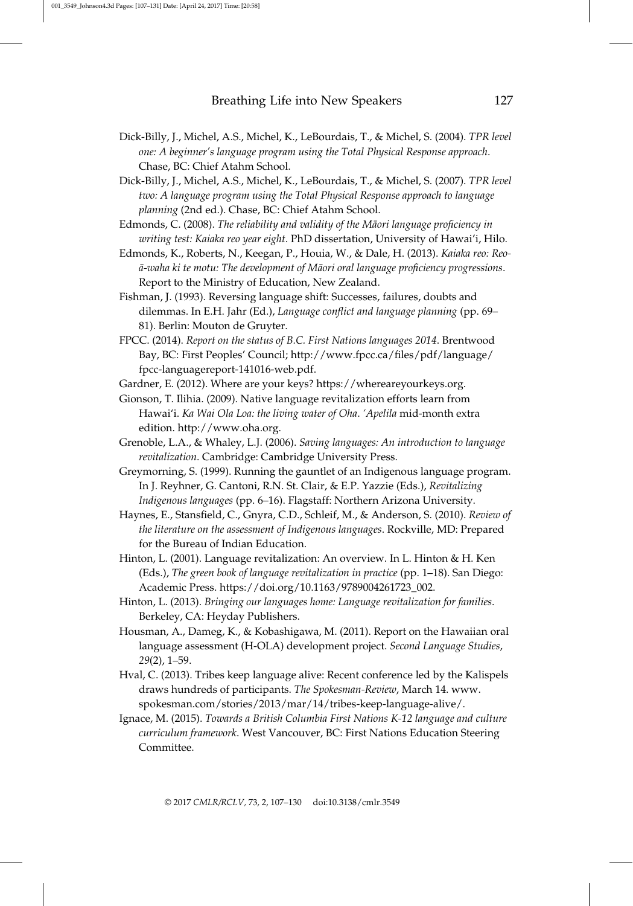- Dick-Billy, J., Michel, A.S., Michel, K., LeBourdais, T., & Michel, S. (2004). TPR level one: A beginner's language program using the Total Physical Response approach. Chase, BC: Chief Atahm School.
- Dick-Billy, J., Michel, A.S., Michel, K., LeBourdais, T., & Michel, S. (2007). TPR level two: A language program using the Total Physical Response approach to language planning (2nd ed.). Chase, BC: Chief Atahm School.
- Edmonds, C. (2008). The reliability and validity of the Māori language proficiency in writing test: Kaiaka reo year eight. PhD dissertation, University of Hawai'i, Hilo.
- Edmonds, K., Roberts, N., Keegan, P., Houia, W., & Dale, H. (2013). Kaiaka reo: Reo- $\bar{a}$ -waha ki te motu: The development of Māori oral language proficiency progressions. Report to the Ministry of Education, New Zealand.
- Fishman, J. (1993). Reversing language shift: Successes, failures, doubts and dilemmas. In E.H. Jahr (Ed.), Language conflict and language planning (pp. 69– 81). Berlin: Mouton de Gruyter.
- FPCC. (2014). Report on the status of B.C. First Nations languages 2014. Brentwood Bay, BC: First Peoples' Council; http://www.fpcc.ca/files/pdf/language/ fpcc-languagereport-141016-web.pdf.
- Gardner, E. (2012). Where are your keys? https://whereareyourkeys.org.
- Gionson, T. Ilihia. (2009). Native language revitalization efforts learn from Hawai'i. Ka Wai Ola Loa: the living water of Oha. 'Apelila mid-month extra edition. http://www.oha.org.
- Grenoble, L.A., & Whaley, L.J. (2006). Saving languages: An introduction to language revitalization. Cambridge: Cambridge University Press.
- Greymorning, S. (1999). Running the gauntlet of an Indigenous language program. In J. Reyhner, G. Cantoni, R.N. St. Clair, & E.P. Yazzie (Eds.), Revitalizing Indigenous languages (pp. 6–16). Flagstaff: Northern Arizona University.
- Haynes, E., Stansfield, C., Gnyra, C.D., Schleif, M., & Anderson, S. (2010). Review of the literature on the assessment of Indigenous languages. Rockville, MD: Prepared for the Bureau of Indian Education.
- Hinton, L. (2001). Language revitalization: An overview. In L. Hinton & H. Ken (Eds.), The green book of language revitalization in practice (pp. 1–18). San Diego: Academic Press. https://doi.org/10.1163/9789004261723\_002.
- Hinton, L. (2013). Bringing our languages home: Language revitalization for families. Berkeley, CA: Heyday Publishers.
- Housman, A., Dameg, K., & Kobashigawa, M. (2011). Report on the Hawaiian oral language assessment (H-OLA) development project. Second Language Studies, 29(2), 1–59.
- Hval, C. (2013). Tribes keep language alive: Recent conference led by the Kalispels draws hundreds of participants. The Spokesman-Review, March 14. www. spokesman.com/stories/2013/mar/14/tribes-keep-language-alive/.
- Ignace, M. (2015). Towards a British Columbia First Nations K-12 language and culture curriculum framework. West Vancouver, BC: First Nations Education Steering Committee.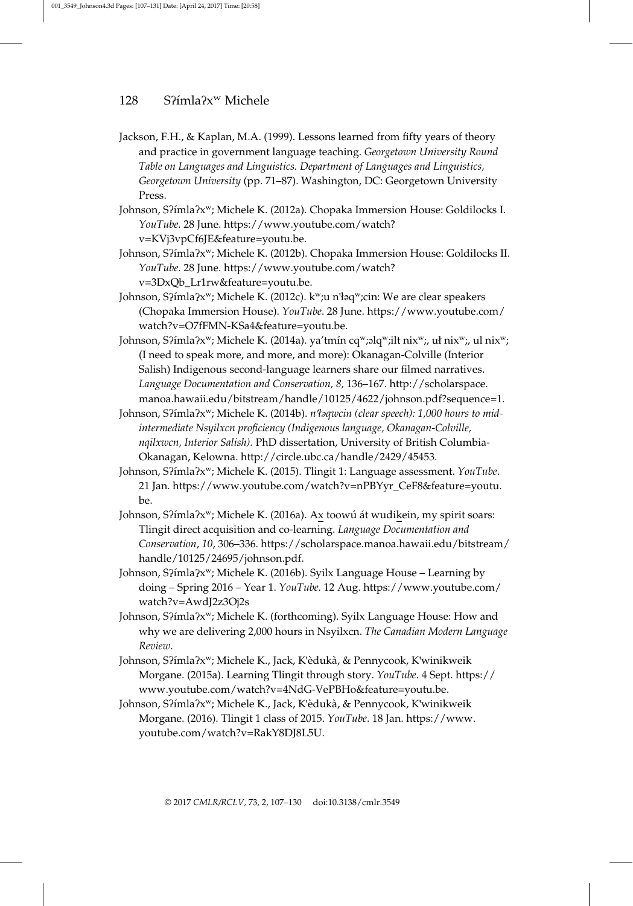- Jackson, F.H., & Kaplan, M.A. (1999). Lessons learned from fifty years of theory and practice in government language teaching. Georgetown University Round Table on Languages and Linguistics. Department of Languages and Linguistics, Georgetown University (pp. 71–87). Washington, DC: Georgetown University Press.
- Johnson, S?ímla?x<sup>w</sup>; Michele K. (2012a). Chopaka Immersion House: Goldilocks I. YouTube. 28 June. https://www.youtube.com/watch? v=KVj3vpCf6JE&feature=youtu.be.
- Johnson, S?ímla?x<sup>w</sup>; Michele K. (2012b). Chopaka Immersion House: Goldilocks II. YouTube. 28 June. https://www.youtube.com/watch? v=3DxQb\_Lr1rw&feature=youtu.be.
- Johnson, S?ímla?x<sup>w</sup>; Michele K. (2012c). k<sup>w</sup>;u n'łaq<sup>w</sup>;cin: We are clear speakers (Chopaka Immersion House). YouTube. 28 June. https://www.youtube.com/ watch?v=O7fFMN-KSa4&feature=youtu.be.
- Johnson, S?imla?xw; Michele K. (2014a). ya'tmin cqw;əlqw;ilt nixw;, uł nixw;, ul nixw; (I need to speak more, and more, and more): Okanagan-Colville (Interior Salish) Indigenous second-language learners share our filmed narratives. Language Documentation and Conservation, 8, 136–167. http://scholarspace. manoa.hawaii.edu/bitstream/handle/10125/4622/johnson.pdf?sequence=1.
- Johnson, Sʔ´ımlaʔxw; Michele K. (2014b). n'łəqwcin (clear speech): 1,000 hours to midintermediate Nsyilxcn proficiency (Indigenous language, Okanagan-Colville, nqilxwcn, Interior Salish). PhD dissertation, University of British Columbia-Okanagan, Kelowna. http://circle.ubc.ca/handle/2429/45453.
- Johnson, S?ímla?x<sup>w</sup>; Michele K. (2015). Tlingit 1: Language assessment. *YouTube*. 21 Jan. https://www.youtube.com/watch?v=nPBYyr\_CeF8&feature=youtu. be.
- Johnson, S?ímla?x<sup>w</sup>; Michele K. (2016a). Ax toowú át wudikein, my spirit soars: Tlingit direct acquisition and co-learning. Language Documentation and Conservation, 10, 306–336. https://scholarspace.manoa.hawaii.edu/bitstream/ handle/10125/24695/johnson.pdf.
- Johnson, S?ímla?x<sup>w</sup>; Michele K. (2016b). Syilx Language House Learning by doing – Spring 2016 – Year 1. YouTube. 12 Aug. https://www.youtube.com/ watch?v=AwdJ2z3Oj2s
- Johnson, S?ímla?x<sup>w</sup>; Michele K. (forthcoming). Syilx Language House: How and why we are delivering 2,000 hours in Nsyilxcn. The Canadian Modern Language Review.
- Johnson, S?ímla?x<sup>w</sup>; Michele K., Jack, K'èdukà, & Pennycook, K'winikweik Morgane. (2015a). Learning Tlingit through story. YouTube. 4 Sept. https:// www.youtube.com/watch?v=4NdG-VePBHo&feature=youtu.be.
- Johnson, S?ímla?x<sup>w</sup>; Michele K., Jack, K'èdukà, & Pennycook, K'winikweik Morgane. (2016). Tlingit 1 class of 2015. YouTube. 18 Jan. https://www. youtube.com/watch?v=RakY8DJ8L5U.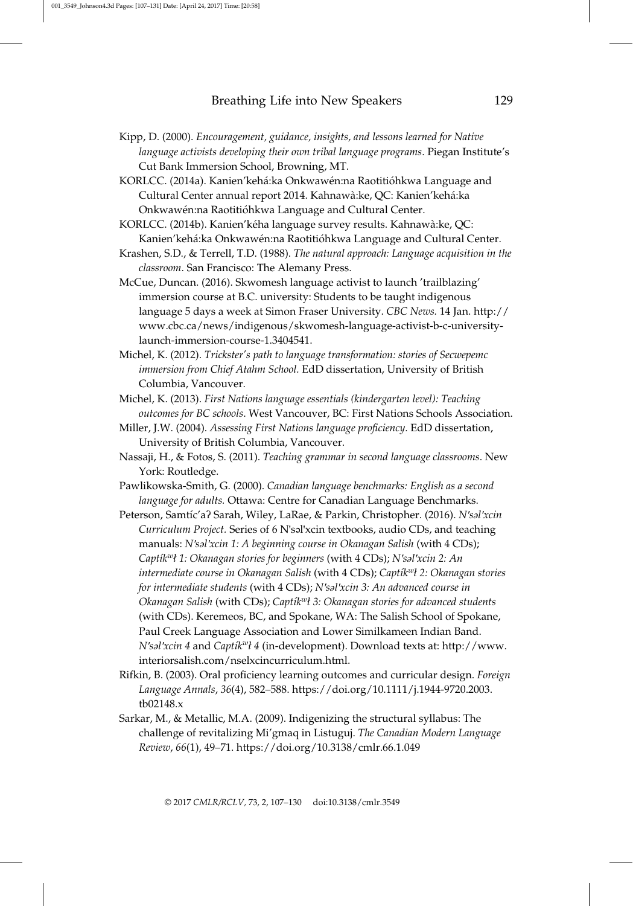- Kipp, D. (2000). Encouragement, guidance, insights, and lessons learned for Native language activists developing their own tribal language programs. Piegan Institute's Cut Bank Immersion School, Browning, MT.
- KORLCC. (2014a). Kanien'kehá:ka Onkwawén:na Raotitióhkwa Language and Cultural Center annual report 2014. Kahnawà:ke, QC: Kanien'kehá:ka Onkwawén:na Raotitióhkwa Language and Cultural Center.
- KORLCC. (2014b). Kanien'kéha language survey results. Kahnawà:ke, QC: Kanien'kehá:ka Onkwawén:na Raotitióhkwa Language and Cultural Center.
- Krashen, S.D., & Terrell, T.D. (1988). The natural approach: Language acquisition in the classroom. San Francisco: The Alemany Press.
- McCue, Duncan. (2016). Skwomesh language activist to launch 'trailblazing' immersion course at B.C. university: Students to be taught indigenous language 5 days a week at Simon Fraser University. CBC News. 14 Jan. http:// www.cbc.ca/news/indigenous/skwomesh-language-activist-b-c-universitylaunch-immersion-course-1.3404541.
- Michel, K. (2012). Trickster's path to language transformation: stories of Secwepemc immersion from Chief Atahm School. EdD dissertation, University of British Columbia, Vancouver.
- Michel, K. (2013). First Nations language essentials (kindergarten level): Teaching outcomes for BC schools. West Vancouver, BC: First Nations Schools Association.
- Miller, J.W. (2004). Assessing First Nations language proficiency. EdD dissertation, University of British Columbia, Vancouver.
- Nassaji, H., & Fotos, S. (2011). Teaching grammar in second language classrooms. New York: Routledge.
- Pawlikowska-Smith, G. (2000). Canadian language benchmarks: English as a second language for adults. Ottawa: Centre for Canadian Language Benchmarks.
- Peterson, Samtíc'a? Sarah, Wiley, LaRae, & Parkin, Christopher. (2016). N'sal'xcin Curriculum Project. Series of 6 N'səl'xcin textbooks, audio CDs, and teaching manuals: N'səl'xcin 1: A beginning course in Okanagan Salish (with 4 CDs); Captík<sup>w</sup>ł 1: Okanagan stories for beginners (with 4 CDs); N'səl'xcin 2: An intermediate course in Okanagan Salish (with 4 CDs); Captík<sup>w</sup>ł 2: Okanagan stories for intermediate students (with 4 CDs); N'səl'xcin 3: An advanced course in Okanagan Salish (with CDs); Captík<sup>w</sup>ł 3: Okanagan stories for advanced students (with CDs). Keremeos, BC, and Spokane, WA: The Salish School of Spokane, Paul Creek Language Association and Lower Similkameen Indian Band. N'səl'xcin 4 and Captík<sup>w</sup>ł 4 (in-development). Download texts at: http://www. interiorsalish.com/nselxcincurriculum.html.
- Rifkin, B. (2003). Oral proficiency learning outcomes and curricular design. Foreign Language Annals, 36(4), 582–588. https://doi.org/10.1111/j.1944-9720.2003. tb02148.x
- Sarkar, M., & Metallic, M.A. (2009). Indigenizing the structural syllabus: The challenge of revitalizing Mi'gmaq in Listuguj. The Canadian Modern Language Review, 66(1), 49–71. https://doi.org/10.3138/cmlr.66.1.049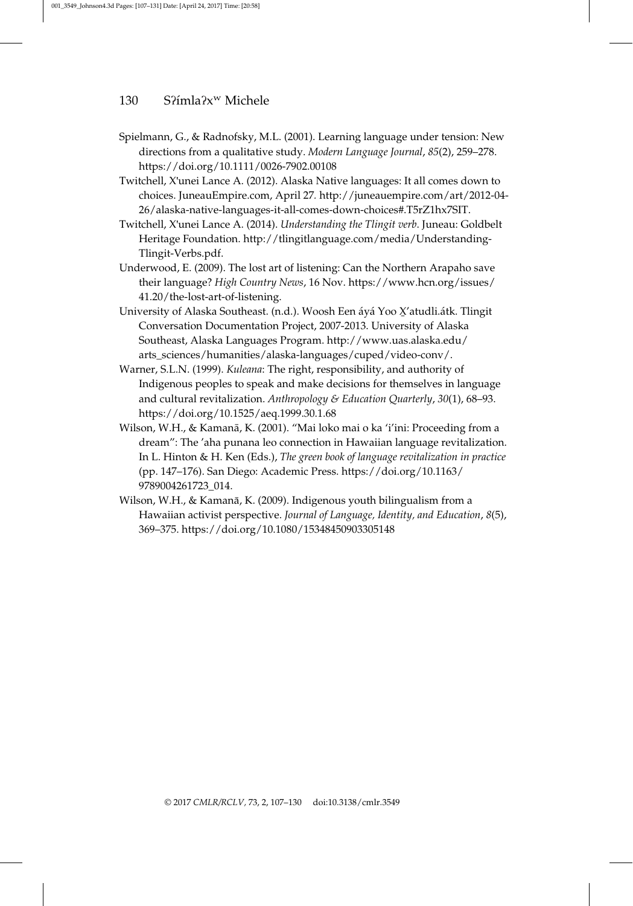- Spielmann, G., & Radnofsky, M.L. (2001). Learning language under tension: New directions from a qualitative study. Modern Language Journal, 85(2), 259–278. https://doi.org/10.1111/0026-7902.00108
- Twitchell, X'unei Lance A. (2012). Alaska Native languages: It all comes down to choices. JuneauEmpire.com, April 27. http://juneauempire.com/art/2012-04- 26/alaska-native-languages-it-all-comes-down-choices#.T5rZ1hx7SIT.
- Twitchell, X'unei Lance A. (2014). Understanding the Tlingit verb. Juneau: Goldbelt Heritage Foundation. http://tlingitlanguage.com/media/Understanding-Tlingit-Verbs.pdf.
- Underwood, E. (2009). The lost art of listening: Can the Northern Arapaho save their language? High Country News, 16 Nov. https://www.hcn.org/issues/ 41.20/the-lost-art-of-listening.
- University of Alaska Southeast. (n.d.). Woosh Een áyá Yoo X'atudli.átk. Tlingit<br>Carreggetten Desegnatelien Brainst 2007-2012, University of Alaska Conversation Documentation Project, 2007-2013. University of Alaska Southeast, Alaska Languages Program. http://www.uas.alaska.edu/ arts\_sciences/humanities/alaska-languages/cuped/video-conv/.
- Warner, S.L.N. (1999). Kuleana: The right, responsibility, and authority of Indigenous peoples to speak and make decisions for themselves in language and cultural revitalization. Anthropology & Education Quarterly, 30(1), 68-93. https://doi.org/10.1525/aeq.1999.30.1.68
- Wilson, W.H., & Kamanā, K. (2001). "Mai loko mai o ka 'i'ini: Proceeding from a dream": The 'aha punana leo connection in Hawaiian language revitalization. In L. Hinton & H. Ken (Eds.), The green book of language revitalization in practice (pp. 147–176). San Diego: Academic Press. https://doi.org/10.1163/ 9789004261723\_014.
- Wilson, W.H., & Kamanā, K. (2009). Indigenous youth bilingualism from a Hawaiian activist perspective. Journal of Language, Identity, and Education, 8(5), 369–375. https://doi.org/10.1080/15348450903305148